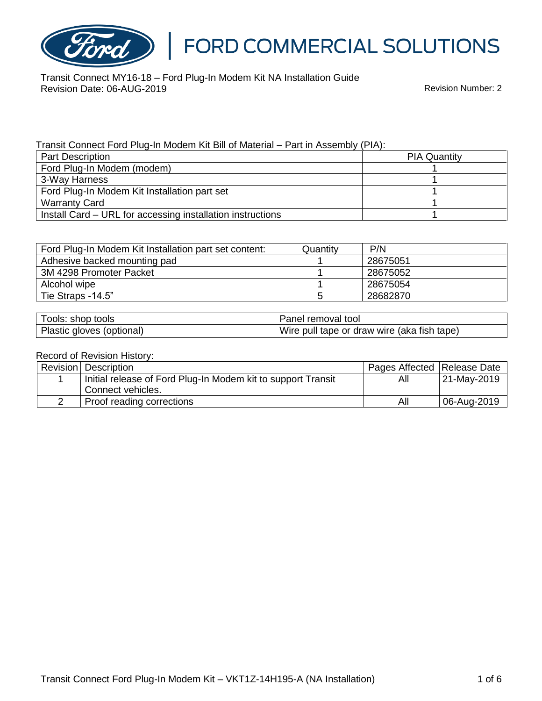

# FORD COMMERCIAL SOLUTIONS

Transit Connect MY16-18 – Ford Plug-In Modem Kit NA Installation Guide Revision Date: 06-AUG-2019 Revision Number: 2

#### Transit Connect Ford Plug-In Modem Kit Bill of Material – Part in Assembly (PIA):

| <b>Part Description</b>                                    | <b>PIA Quantity</b> |
|------------------------------------------------------------|---------------------|
| Ford Plug-In Modem (modem)                                 |                     |
| 3-Way Harness                                              |                     |
| Ford Plug-In Modem Kit Installation part set               |                     |
| <b>Warranty Card</b>                                       |                     |
| Install Card – URL for accessing installation instructions |                     |

| Ford Plug-In Modem Kit Installation part set content: | Quantitv | P/N      |
|-------------------------------------------------------|----------|----------|
| Adhesive backed mounting pad                          |          | 28675051 |
| 3M 4298 Promoter Packet                               |          | 28675052 |
| Alcohol wipe                                          |          | 28675054 |
| Tie Straps -14.5"                                     |          | 28682870 |

| Tools: shop tools         | Panel removal tool                          |
|---------------------------|---------------------------------------------|
| Plastic gloves (optional) | Wire pull tape or draw wire (aka fish tape) |

#### Record of Revision History:

| Revision   Description                                       | Pages Affected   Release Date |             |
|--------------------------------------------------------------|-------------------------------|-------------|
| Initial release of Ford Plug-In Modem kit to support Transit | All                           | 21-May-2019 |
| Connect vehicles.                                            |                               |             |
| Proof reading corrections                                    | All                           | 06-Aug-2019 |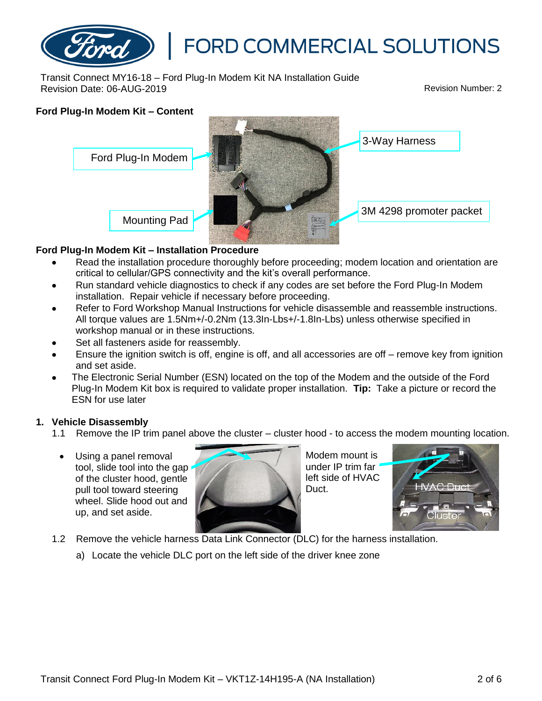

Transit Connect MY16-18 – Ford Plug-In Modem Kit NA Installation Guide Revision Date: 06-AUG-2019 Revision Number: 2

# **Ford Plug-In Modem Kit – Content** 3-Way Harness Ford Plug-In Modem 3M 4298 promoter packet Mounting Pad

### **Ford Plug-In Modem Kit – Installation Procedure**

- Read the installation procedure thoroughly before proceeding; modem location and orientation are critical to cellular/GPS connectivity and the kit's overall performance.
- Run standard vehicle diagnostics to check if any codes are set before the Ford Plug-In Modem installation. Repair vehicle if necessary before proceeding.
- Refer to Ford Workshop Manual Instructions for vehicle disassemble and reassemble instructions. All torque values are 1.5Nm+/-0.2Nm (13.3In-Lbs+/-1.8In-Lbs) unless otherwise specified in workshop manual or in these instructions.
- Set all fasteners aside for reassembly.
- Ensure the ignition switch is off, engine is off, and all accessories are off remove key from ignition and set aside.
- The Electronic Serial Number (ESN) located on the top of the Modem and the outside of the Ford Plug-In Modem Kit box is required to validate proper installation. **Tip:** Take a picture or record the ESN for use later

### **1. Vehicle Disassembly**

- 1.1 Remove the IP trim panel above the cluster cluster hood to access the modem mounting location.
	- Using a panel removal tool, slide tool into the gap of the cluster hood, gentle pull tool toward steering wheel. Slide hood out and up, and set aside.



Modem mount is under IP trim far left side of HVAC Duct.



- 1.2 Remove the vehicle harness Data Link Connector (DLC) for the harness installation.
	- a) Locate the vehicle DLC port on the left side of the driver knee zone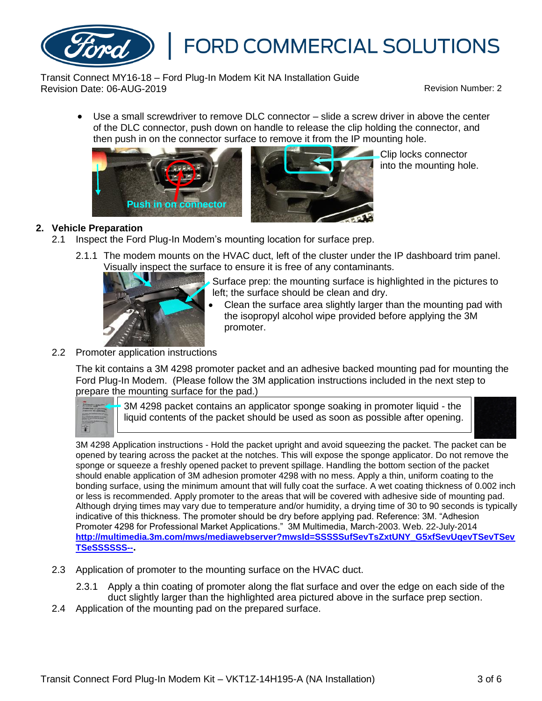

Transit Connect MY16-18 – Ford Plug-In Modem Kit NA Installation Guide Revision Date: 06-AUG-2019 Revision Number: 2

• Use a small screwdriver to remove DLC connector – slide a screw driver in above the center of the DLC connector, push down on handle to release the clip holding the connector, and then push in on the connector surface to remove it from the IP mounting hole.





Clip locks connector into the mounting hole.

### **2. Vehicle Preparation**

- 2.1 Inspect the Ford Plug-In Modem's mounting location for surface prep.
	- 2.1.1 The modem mounts on the HVAC duct, left of the cluster under the IP dashboard trim panel. Visually inspect the surface to ensure it is free of any contaminants.



- Surface prep: the mounting surface is highlighted in the pictures to left; the surface should be clean and dry.
- Clean the surface area slightly larger than the mounting pad with the isopropyl alcohol wipe provided before applying the 3M promoter.
- 2.2 Promoter application instructions

The kit contains a 3M 4298 promoter packet and an adhesive backed mounting pad for mounting the Ford Plug-In Modem. (Please follow the 3M application instructions included in the next step to prepare the mounting surface for the pad.)



3M 4298 packet contains an applicator sponge soaking in promoter liquid - the liquid contents of the packet should be used as soon as possible after opening.



3M 4298 Application instructions - Hold the packet upright and avoid squeezing the packet. The packet can be opened by tearing across the packet at the notches. This will expose the sponge applicator. Do not remove the sponge or squeeze a freshly opened packet to prevent spillage. Handling the bottom section of the packet should enable application of 3M adhesion promoter 4298 with no mess. Apply a thin, uniform coating to the bonding surface, using the minimum amount that will fully coat the surface. A wet coating thickness of 0.002 inch or less is recommended. Apply promoter to the areas that will be covered with adhesive side of mounting pad. Although drying times may vary due to temperature and/or humidity, a drying time of 30 to 90 seconds is typically indicative of this thickness. The promoter should be dry before applying pad. Reference: 3M. "Adhesion Promoter 4298 for Professional Market Applications." 3M Multimedia, March-2003. Web. 22-July-2014 **[http://multimedia.3m.com/mws/mediawebserver?mwsId=SSSSSufSevTsZxtUNY\\_G5xfSevUqevTSevTSev](http://multimedia.3m.com/mws/mediawebserver?mwsId=SSSSSufSevTsZxtUNY_G5xfSevUqevTSevTSevTSeSSSSSS--) [TSeSSSSSS--](http://multimedia.3m.com/mws/mediawebserver?mwsId=SSSSSufSevTsZxtUNY_G5xfSevUqevTSevTSevTSeSSSSSS--).**

- 2.3 Application of promoter to the mounting surface on the HVAC duct.
	- 2.3.1 Apply a thin coating of promoter along the flat surface and over the edge on each side of the duct slightly larger than the highlighted area pictured above in the surface prep section.
- 2.4 Application of the mounting pad on the prepared surface.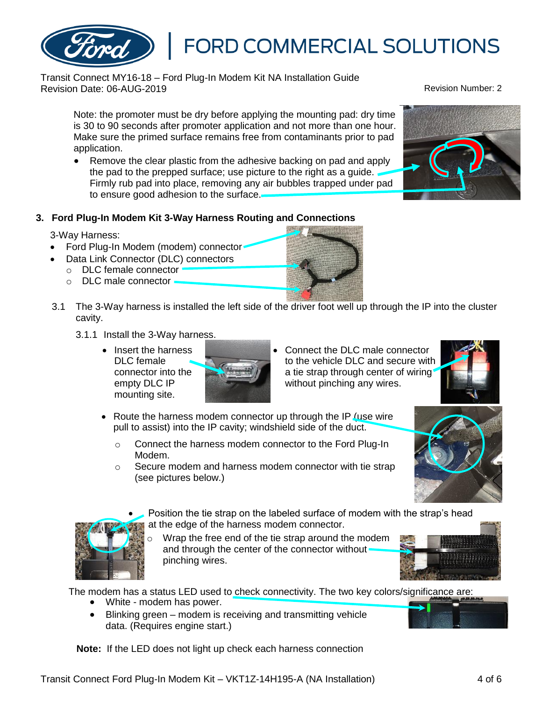

## **3. Ford Plug-In Modem Kit 3-Way Harness Routing and Connections**

to ensure good adhesion to the surface.

• Remove the clear plastic from the adhesive backing on pad and apply the pad to the prepped surface; use picture to the right as a guide.

### 3-Way Harness:

- Ford Plug-In Modem (modem) connector
- Data Link Connector (DLC) connectors
	- o DLC female connector
	- o DLC male connector
- 3.1 The 3-Way harness is installed the left side of the driver foot well up through the IP into the cluster cavity.
	- 3.1.1 Install the 3-Way harness.
		- Insert the harness DLC female connector into the empty DLC IP mounting site.

without pinching any wires.

• Connect the DLC male connector

FORD COMMERCIAL SOLUTIONS

a tie strap through center of wiring

- Route the harness modem connector up through the IP (use wire pull to assist) into the IP cavity; windshield side of the duct.
	- o Connect the harness modem connector to the Ford Plug-In Modem.
	- o Secure modem and harness modem connector with tie strap (see pictures below.)
		- Position the tie strap on the labeled surface of modem with the strap's head at the edge of the harness modem connector.
			- Wrap the free end of the tie strap around the modem and through the center of the connector without. pinching wires.

The modem has a status LED used to check connectivity. The two key colors/significance are:

- White modem has power.
- Blinking green modem is receiving and transmitting vehicle data. (Requires engine start.)

**Note:** If the LED does not light up check each harness connection















application.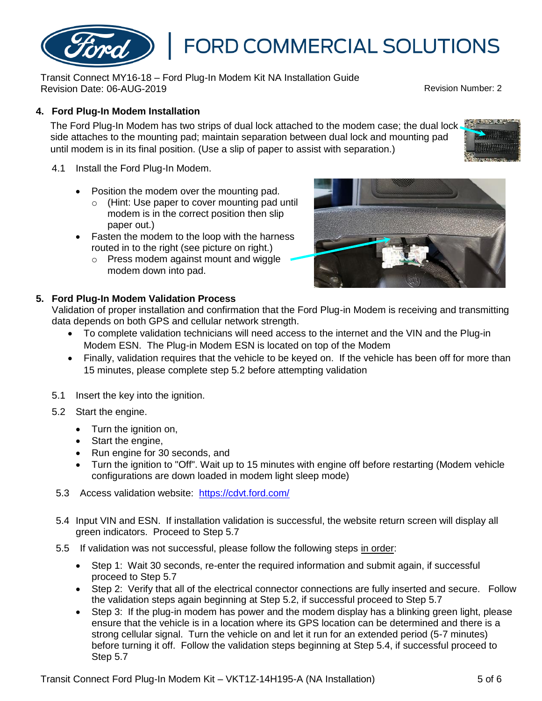## **4. Ford Plug-In Modem Installation**

The Ford Plug-In Modem has two strips of dual lock attached to the modem case; the dual lock. side attaches to the mounting pad; maintain separation between dual lock and mounting pad until modem is in its final position. (Use a slip of paper to assist with separation.)

- 4.1 Install the Ford Plug-In Modem.
	- Position the modem over the mounting pad.
		- o (Hint: Use paper to cover mounting pad until modem is in the correct position then slip paper out.)

Transit Connect MY16-18 – Ford Plug-In Modem Kit NA Installation Guide

- Fasten the modem to the loop with the harness routed in to the right (see picture on right.)
	- o Press modem against mount and wiggle modem down into pad.

### **5. Ford Plug-In Modem Validation Process**

Validation of proper installation and confirmation that the Ford Plug-in Modem is receiving and transmitting data depends on both GPS and cellular network strength.

- To complete validation technicians will need access to the internet and the VIN and the Plug-in Modem ESN. The Plug-in Modem ESN is located on top of the Modem
- Finally, validation requires that the vehicle to be keyed on. If the vehicle has been off for more than 15 minutes, please complete step 5.2 before attempting validation
- 5.1 Insert the key into the ignition.
- 5.2 Start the engine.
	- Turn the ignition on,
	- Start the engine,
	- Run engine for 30 seconds, and
	- Turn the ignition to "Off". Wait up to 15 minutes with engine off before restarting (Modem vehicle configurations are down loaded in modem light sleep mode)
- 5.3 Access validation website: <https://cdvt.ford.com/>
- 5.4 Input VIN and ESN. If installation validation is successful, the website return screen will display all green indicators. Proceed to Step 5.7
- 5.5 If validation was not successful, please follow the following steps in order:
	- Step 1: Wait 30 seconds, re-enter the required information and submit again, if successful proceed to Step 5.7
	- Step 2: Verify that all of the electrical connector connections are fully inserted and secure. Follow the validation steps again beginning at Step 5.2, if successful proceed to Step 5.7
	- Step 3: If the plug-in modem has power and the modem display has a blinking green light, please ensure that the vehicle is in a location where its GPS location can be determined and there is a strong cellular signal. Turn the vehicle on and let it run for an extended period (5-7 minutes) before turning it off. Follow the validation steps beginning at Step 5.4, if successful proceed to Step 5.7







# **FORD COMMERCIAL SOLUTIONS**